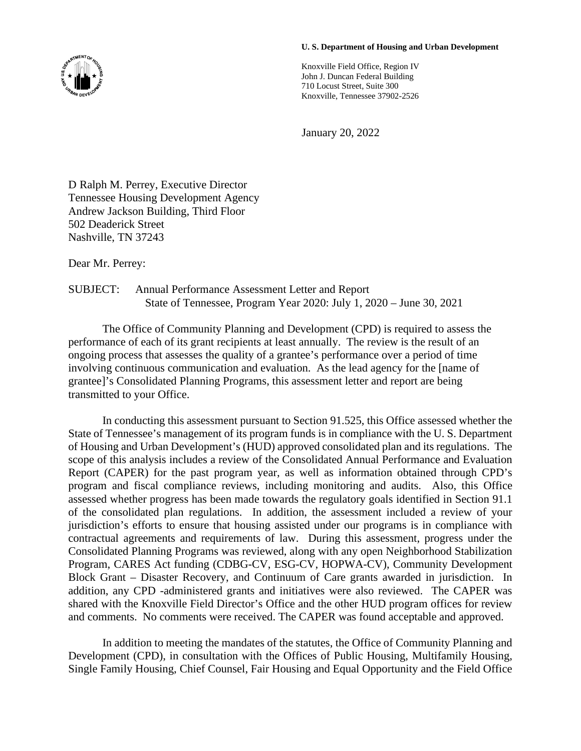## **U. S. Department of Housing and Urban Development**



January 20, 2022

D Ralph M. Perrey, Executive Director Tennessee Housing Development Agency Andrew Jackson Building, Third Floor 502 Deaderick Street Nashville, TN 37243

Dear Mr. Perrey:

SUBJECT: Annual Performance Assessment Letter and Report State of Tennessee, Program Year 2020: July 1, 2020 – June 30, 2021

The Office of Community Planning and Development (CPD) is required to assess the performance of each of its grant recipients at least annually. The review is the result of an ongoing process that assesses the quality of a grantee's performance over a period of time involving continuous communication and evaluation. As the lead agency for the [name of grantee]'s Consolidated Planning Programs, this assessment letter and report are being transmitted to your Office.

In conducting this assessment pursuant to Section 91.525, this Office assessed whether the State of Tennessee's management of its program funds is in compliance with the U. S. Department of Housing and Urban Development's (HUD) approved consolidated plan and its regulations. The scope of this analysis includes a review of the Consolidated Annual Performance and Evaluation Report (CAPER) for the past program year, as well as information obtained through CPD's program and fiscal compliance reviews, including monitoring and audits. Also, this Office assessed whether progress has been made towards the regulatory goals identified in Section 91.1 of the consolidated plan regulations. In addition, the assessment included a review of your jurisdiction's efforts to ensure that housing assisted under our programs is in compliance with contractual agreements and requirements of law. During this assessment, progress under the Consolidated Planning Programs was reviewed, along with any open Neighborhood Stabilization Program, CARES Act funding (CDBG-CV, ESG-CV, HOPWA-CV), Community Development Block Grant – Disaster Recovery, and Continuum of Care grants awarded in jurisdiction. In addition, any CPD -administered grants and initiatives were also reviewed. The CAPER was shared with the Knoxville Field Director's Office and the other HUD program offices for review and comments. No comments were received. The CAPER was found acceptable and approved.

In addition to meeting the mandates of the statutes, the Office of Community Planning and Development (CPD), in consultation with the Offices of Public Housing, Multifamily Housing, Single Family Housing, Chief Counsel, Fair Housing and Equal Opportunity and the Field Office

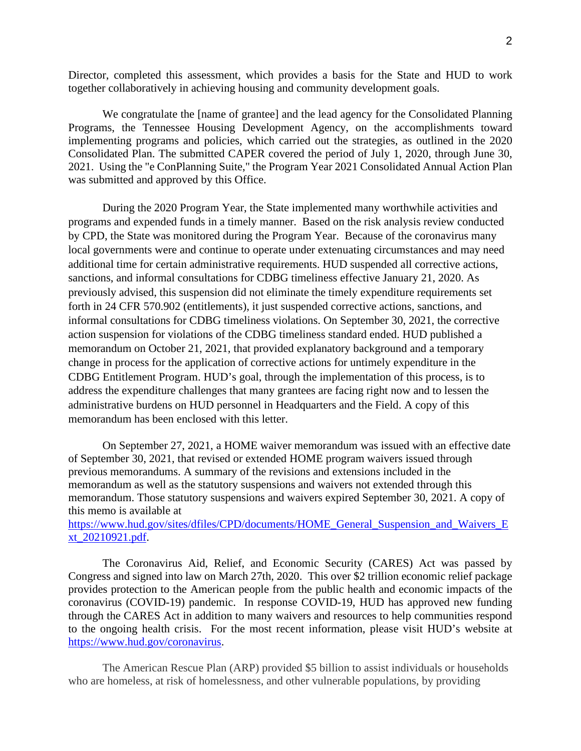Director, completed this assessment, which provides a basis for the State and HUD to work together collaboratively in achieving housing and community development goals.

We congratulate the [name of grantee] and the lead agency for the Consolidated Planning Programs, the Tennessee Housing Development Agency, on the accomplishments toward implementing programs and policies, which carried out the strategies, as outlined in the 2020 Consolidated Plan. The submitted CAPER covered the period of July 1, 2020, through June 30, 2021. Using the "e ConPlanning Suite," the Program Year 2021 Consolidated Annual Action Plan was submitted and approved by this Office.

During the 2020 Program Year, the State implemented many worthwhile activities and programs and expended funds in a timely manner. Based on the risk analysis review conducted by CPD, the State was monitored during the Program Year. Because of the coronavirus many local governments were and continue to operate under extenuating circumstances and may need additional time for certain administrative requirements. HUD suspended all corrective actions, sanctions, and informal consultations for CDBG timeliness effective January 21, 2020. As previously advised, this suspension did not eliminate the timely expenditure requirements set forth in 24 CFR 570.902 (entitlements), it just suspended corrective actions, sanctions, and informal consultations for CDBG timeliness violations. On September 30, 2021, the corrective action suspension for violations of the CDBG timeliness standard ended. HUD published a memorandum on October 21, 2021, that provided explanatory background and a temporary change in process for the application of corrective actions for untimely expenditure in the CDBG Entitlement Program. HUD's goal, through the implementation of this process, is to address the expenditure challenges that many grantees are facing right now and to lessen the administrative burdens on HUD personnel in Headquarters and the Field. A copy of this memorandum has been enclosed with this letter.

On September 27, 2021, a HOME waiver memorandum was issued with an effective date of September 30, 2021, that revised or extended HOME program waivers issued through previous memorandums. A summary of the revisions and extensions included in the memorandum as well as the statutory suspensions and waivers not extended through this memorandum. Those statutory suspensions and waivers expired September 30, 2021. A copy of this memo is available at

## [https://www.hud.gov/sites/dfiles/CPD/documents/HOME\\_General\\_Suspension\\_and\\_Waivers\\_E](https://www.hud.gov/sites/dfiles/CPD/documents/HOME_General_Suspension_and_Waivers_Ext_20210921.pdf) [xt\\_20210921.pdf.](https://www.hud.gov/sites/dfiles/CPD/documents/HOME_General_Suspension_and_Waivers_Ext_20210921.pdf)

The Coronavirus Aid, Relief, and Economic Security (CARES) Act was passed by Congress and signed into law on March 27th, 2020. This over \$2 trillion economic relief package provides protection to the American people from the public health and economic impacts of the coronavirus (COVID-19) pandemic. In response COVID-19, HUD has approved new funding through the CARES Act in addition to many waivers and resources to help communities respond to the ongoing health crisis. For the most recent information, please visit HUD's website at [https://www.hud.gov/coronavirus.](https://www.hud.gov/coronavirus)

[The American Rescue Plan \(ARP\)](https://www.congress.gov/bill/117th-congress/house-bill/1319/text) provided \$5 billion to assist individuals or households who are homeless, at risk of homelessness, and other vulnerable populations, by providing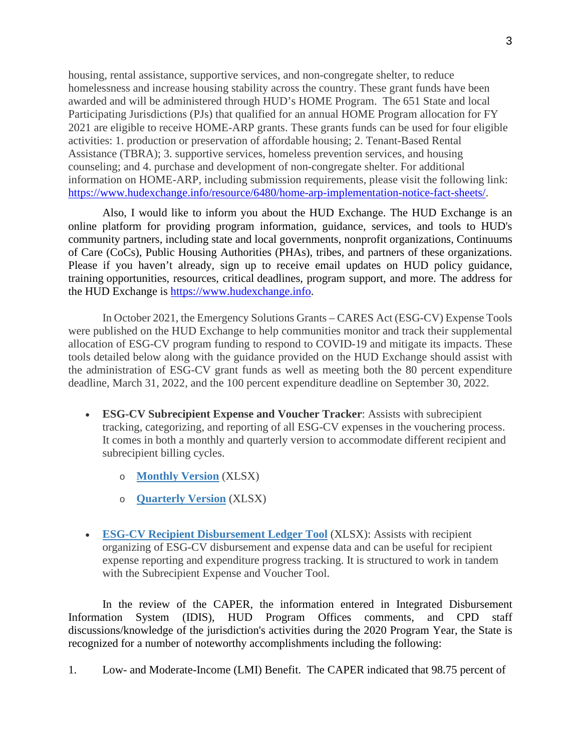housing, rental assistance, supportive services, and non-congregate shelter, to reduce homelessness and increase housing stability across the country. These grant funds have been awarded and will be administered through HUD's [HOME Program.](https://www.hudexchange.info/programs/home) The 651 State and local Participating Jurisdictions (PJs) that qualified for an annual HOME Program allocation for FY 2021 are eligible to receive HOME-ARP grants. These grants funds can be used for four eligible activities: 1. production or preservation of affordable housing; 2. Tenant-Based Rental Assistance (TBRA); 3. supportive services, homeless prevention services, and housing counseling; and 4. purchase and development of non-congregate shelter. For additional information on HOME-ARP, including submission requirements, please visit the following link: [https://www.hudexchange.info/resource/6480/home-arp-implementation-notice-fact-sheets/.](https://www.hudexchange.info/resource/6480/home-arp-implementation-notice-fact-sheets/)

Also, I would like to inform you about the HUD Exchange. The HUD Exchange is an online platform for providing program information, guidance, services, and tools to HUD's community partners, including state and local governments, nonprofit organizations, Continuums of Care (CoCs), Public Housing Authorities (PHAs), tribes, and partners of these organizations. Please if you haven't already, sign up to receive email updates on HUD policy guidance, training opportunities, resources, critical deadlines, program support, and more. The address for the HUD Exchange is [https://www.hudexchange.info.](https://www.hudexchange.info/)

In October 2021, the Emergency Solutions Grants – CARES Act (ESG-CV) Expense Tools were published on the HUD Exchange to help communities monitor and track their supplemental allocation of ESG-CV program funding to respond to COVID-19 and mitigate its impacts. These tools detailed below along with the guidance provided on the HUD Exchange should assist with the administration of ESG-CV grant funds as well as meeting both the 80 percent expenditure deadline, March 31, 2022, and the 100 percent expenditure deadline on September 30, 2022.

- **ESG-CV Subrecipient Expense and Voucher Tracker**: Assists with subrecipient tracking, categorizing, and reporting of all ESG-CV expenses in the vouchering process. It comes in both a monthly and quarterly version to accommodate different recipient and subrecipient billing cycles.
	- o **[Monthly Version](https://files.hudexchange.info/resources/documents/ESG-CV-Subrecipient-Expense-and-Voucher-Tracker-Monthly-Version.xlsx)** (XLSX)
	- o **[Quarterly Version](https://files.hudexchange.info/resources/documents/ESG-CV-Subrecipient-Expense-and-Voucher-Tracker-Quarterly-Version.xlsx)** (XLSX)
- **[ESG-CV Recipient Disbursement Ledger Tool](https://files.hudexchange.info/resources/documents/ESG-CV-Recipient-Disbursement-Ledger-Tool.xlsx)** (XLSX): Assists with recipient organizing of ESG-CV disbursement and expense data and can be useful for recipient expense reporting and expenditure progress tracking. It is structured to work in tandem with the Subrecipient Expense and Voucher Tool.

In the review of the CAPER, the information entered in Integrated Disbursement Information System (IDIS), HUD Program Offices comments, and CPD staff discussions/knowledge of the jurisdiction's activities during the 2020 Program Year, the State is recognized for a number of noteworthy accomplishments including the following:

1. Low- and Moderate-Income (LMI) Benefit. The CAPER indicated that 98.75 percent of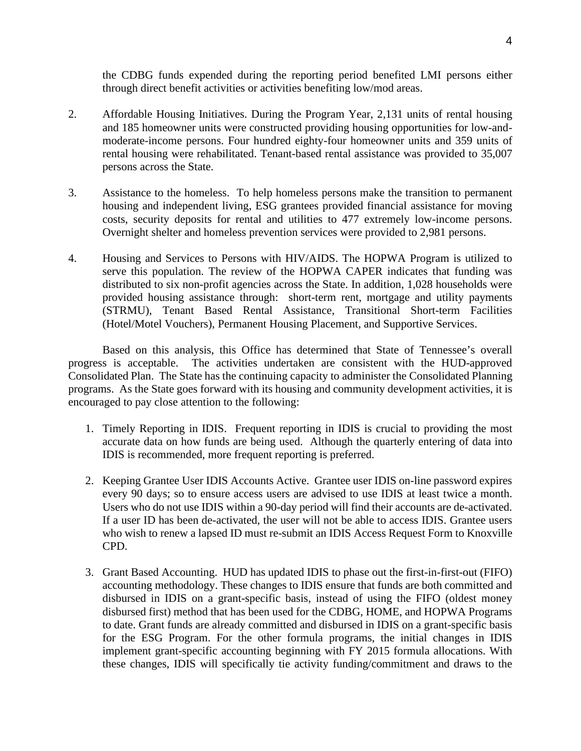the CDBG funds expended during the reporting period benefited LMI persons either through direct benefit activities or activities benefiting low/mod areas.

- 2. Affordable Housing Initiatives. During the Program Year, 2,131 units of rental housing and 185 homeowner units were constructed providing housing opportunities for low-andmoderate-income persons. Four hundred eighty-four homeowner units and 359 units of rental housing were rehabilitated. Tenant-based rental assistance was provided to 35,007 persons across the State.
- 3. Assistance to the homeless. To help homeless persons make the transition to permanent housing and independent living, ESG grantees provided financial assistance for moving costs, security deposits for rental and utilities to 477 extremely low-income persons. Overnight shelter and homeless prevention services were provided to 2,981 persons.
- 4. Housing and Services to Persons with HIV/AIDS. The HOPWA Program is utilized to serve this population. The review of the HOPWA CAPER indicates that funding was distributed to six non-profit agencies across the State. In addition, 1,028 households were provided housing assistance through: short-term rent, mortgage and utility payments (STRMU), Tenant Based Rental Assistance, Transitional Short-term Facilities (Hotel/Motel Vouchers), Permanent Housing Placement, and Supportive Services.

Based on this analysis, this Office has determined that State of Tennessee's overall progress is acceptable. The activities undertaken are consistent with the HUD-approved Consolidated Plan. The State has the continuing capacity to administer the Consolidated Planning programs. As the State goes forward with its housing and community development activities, it is encouraged to pay close attention to the following:

- 1. Timely Reporting in IDIS. Frequent reporting in IDIS is crucial to providing the most accurate data on how funds are being used. Although the quarterly entering of data into IDIS is recommended, more frequent reporting is preferred.
- 2. Keeping Grantee User IDIS Accounts Active. Grantee user IDIS on-line password expires every 90 days; so to ensure access users are advised to use IDIS at least twice a month. Users who do not use IDIS within a 90-day period will find their accounts are de-activated. If a user ID has been de-activated, the user will not be able to access IDIS. Grantee users who wish to renew a lapsed ID must re-submit an IDIS Access Request Form to Knoxville CPD.
- 3. Grant Based Accounting. HUD has updated IDIS to phase out the first-in-first-out (FIFO) accounting methodology. These changes to IDIS ensure that funds are both committed and disbursed in IDIS on a grant-specific basis, instead of using the FIFO (oldest money disbursed first) method that has been used for the CDBG, HOME, and HOPWA Programs to date. Grant funds are already committed and disbursed in IDIS on a grant-specific basis for the ESG Program. For the other formula programs, the initial changes in IDIS implement grant-specific accounting beginning with FY 2015 formula allocations. With these changes, IDIS will specifically tie activity funding/commitment and draws to the